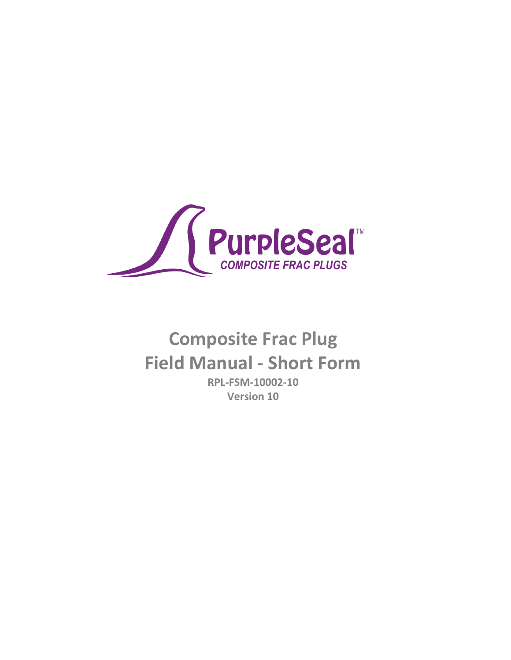

# **Composite Frac Plug Field Manual - Short Form**

**RPL-FSM-10002-10 Version 10**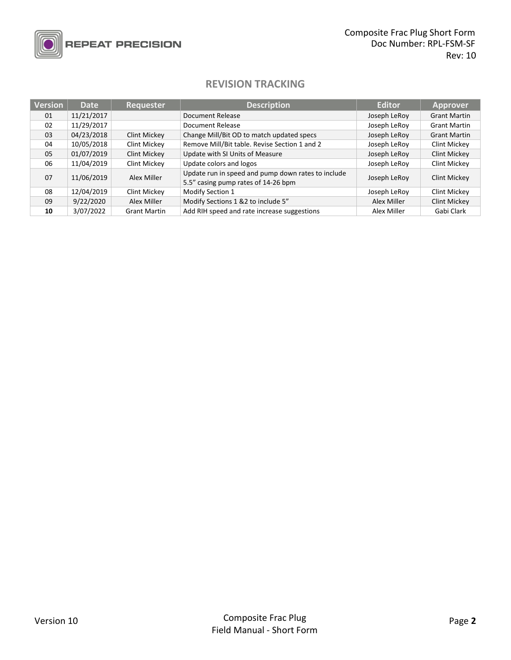

## **REPEAT PRECISION**

### **REVISION TRACKING**

| <b>Version</b> | <b>Date</b> | <b>Requester</b>    | <b>Description</b>                                                                        | <b>Editor</b> | <b>Approver</b>     |
|----------------|-------------|---------------------|-------------------------------------------------------------------------------------------|---------------|---------------------|
| 01             | 11/21/2017  |                     | Document Release                                                                          | Joseph LeRoy  | <b>Grant Martin</b> |
| 02             | 11/29/2017  |                     | Document Release                                                                          | Joseph LeRoy  | <b>Grant Martin</b> |
| 03             | 04/23/2018  | Clint Mickey        | Change Mill/Bit OD to match updated specs                                                 | Joseph LeRoy  | <b>Grant Martin</b> |
| 04             | 10/05/2018  | Clint Mickey        | Remove Mill/Bit table. Revise Section 1 and 2                                             | Joseph LeRoy  | Clint Mickey        |
| 05             | 01/07/2019  | <b>Clint Mickey</b> | Update with SI Units of Measure                                                           | Joseph LeRoy  | <b>Clint Mickey</b> |
| 06             | 11/04/2019  | Clint Mickey        | Update colors and logos                                                                   | Joseph LeRoy  | Clint Mickey        |
| 07             | 11/06/2019  | Alex Miller         | Update run in speed and pump down rates to include<br>5.5" casing pump rates of 14-26 bpm | Joseph LeRoy  | Clint Mickey        |
| 08             | 12/04/2019  | Clint Mickey        | Modify Section 1                                                                          | Joseph LeRoy  | Clint Mickey        |
| 09             | 9/22/2020   | Alex Miller         | Modify Sections 1 &2 to include 5"                                                        | Alex Miller   | <b>Clint Mickey</b> |
| 10             | 3/07/2022   | <b>Grant Martin</b> | Add RIH speed and rate increase suggestions                                               | Alex Miller   | Gabi Clark          |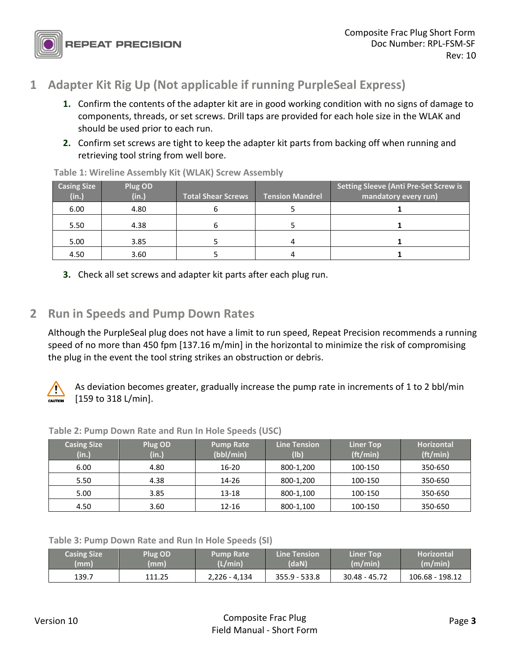## **1 Adapter Kit Rig Up (Not applicable if running PurpleSeal Express)**

- **1.** Confirm the contents of the adapter kit are in good working condition with no signs of damage to components, threads, or set screws. Drill taps are provided for each hole size in the WLAK and should be used prior to each run.
- **2.** Confirm set screws are tight to keep the adapter kit parts from backing off when running and retrieving tool string from well bore.

| <b>Casing Size</b><br>(in.) | Plug OD<br>(in.) | <b>Total Shear Screws</b> | <b>Tension Mandrel</b> | <b>Setting Sleeve (Anti Pre-Set Screw is</b><br>mandatory every run) |  |
|-----------------------------|------------------|---------------------------|------------------------|----------------------------------------------------------------------|--|
| 6.00                        | 4.80             |                           |                        |                                                                      |  |
| 5.50                        | 4.38             |                           |                        |                                                                      |  |
| 5.00                        | 3.85             |                           |                        |                                                                      |  |
| 4.50                        | 3.60             |                           |                        |                                                                      |  |

**Table 1: Wireline Assembly Kit (WLAK) Screw Assembly**

**3.** Check all set screws and adapter kit parts after each plug run.

## **2 Run in Speeds and Pump Down Rates**

Although the PurpleSeal plug does not have a limit to run speed, Repeat Precision recommends a running speed of no more than 450 fpm [137.16 m/min] in the horizontal to minimize the risk of compromising the plug in the event the tool string strikes an obstruction or debris.



As deviation becomes greater, gradually increase the pump rate in increments of 1 to 2 bbl/min [159 to 318 L/min].

| <b>Casing Size</b><br>(in.) | Plug OD<br>(in.) | <b>Pump Rate</b><br>(bbl/min) | <b>Line Tension</b><br>(1b) | <b>Liner Top</b><br>(tt/min) | <b>Horizontal</b><br>(ft/min) |
|-----------------------------|------------------|-------------------------------|-----------------------------|------------------------------|-------------------------------|
| 6.00                        | 4.80             | $16 - 20$                     | 800-1,200                   | 100-150                      | 350-650                       |
| 5.50                        | 4.38             | 14-26                         | 800-1,200                   | 100-150                      | 350-650                       |
| 5.00                        | 3.85             | 13-18                         | 800-1,100                   | 100-150                      | 350-650                       |
| 4.50                        | 3.60             | 12-16                         | 800-1,100                   | 100-150                      | 350-650                       |

**Table 2: Pump Down Rate and Run In Hole Speeds (USC)**

**Table 3: Pump Down Rate and Run In Hole Speeds (SI)**

| <b>Casing Size</b> | <b>Plug OD</b> | Pump Rate     | <b>Line Tension</b> | <b>Liner Top</b> | <b>Horizontal</b> |
|--------------------|----------------|---------------|---------------------|------------------|-------------------|
| (mm)               | (mm)           | (L/min)       | (daN)               | (m/min)          | (m/min)           |
| 139.7              | 111.25         | 2,226 - 4,134 | $355.9 - 533.8$     | 30.48 - 45.72    | 106.68 - 198.12   |